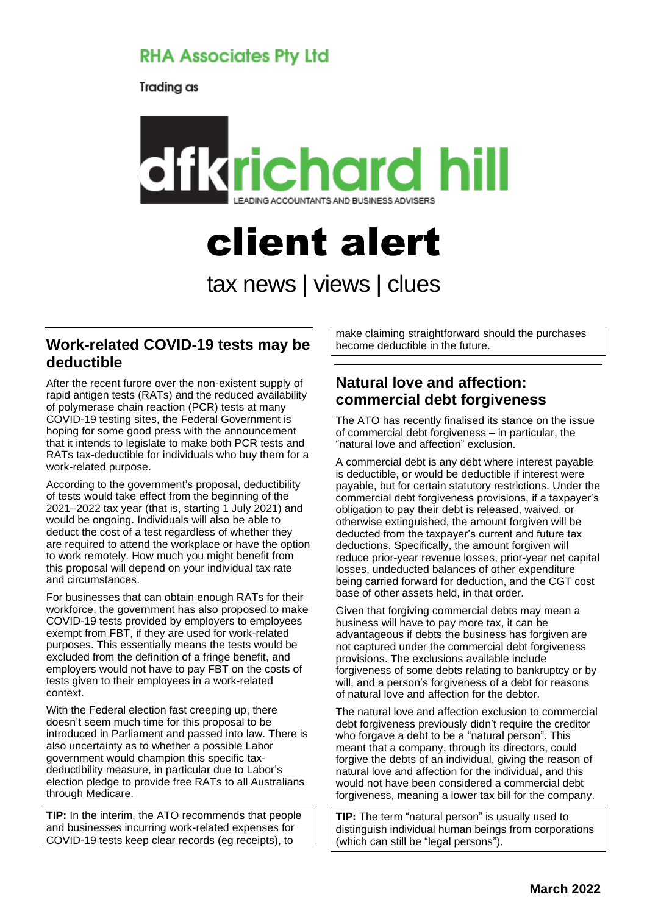# **RHA Associates Pty Ltd**

Trading as



# client alert tax news | views | clues

#### **Work-related COVID-19 tests may be deductible**

After the recent furore over the non-existent supply of rapid antigen tests (RATs) and the reduced availability of polymerase chain reaction (PCR) tests at many COVID-19 testing sites, the Federal Government is hoping for some good press with the announcement that it intends to legislate to make both PCR tests and RATs tax-deductible for individuals who buy them for a work-related purpose.

According to the government's proposal, deductibility of tests would take effect from the beginning of the 2021–2022 tax year (that is, starting 1 July 2021) and would be ongoing. Individuals will also be able to deduct the cost of a test regardless of whether they are required to attend the workplace or have the option to work remotely. How much you might benefit from this proposal will depend on your individual tax rate and circumstances.

For businesses that can obtain enough RATs for their workforce, the government has also proposed to make COVID-19 tests provided by employers to employees exempt from FBT, if they are used for work-related purposes. This essentially means the tests would be excluded from the definition of a fringe benefit, and employers would not have to pay FBT on the costs of tests given to their employees in a work-related context.

With the Federal election fast creeping up, there doesn't seem much time for this proposal to be introduced in Parliament and passed into law. There is also uncertainty as to whether a possible Labor government would champion this specific taxdeductibility measure, in particular due to Labor's election pledge to provide free RATs to all Australians through Medicare.

**TIP:** In the interim, the ATO recommends that people and businesses incurring work-related expenses for COVID-19 tests keep clear records (eg receipts), to

make claiming straightforward should the purchases become deductible in the future.

# **Natural love and affection: commercial debt forgiveness**

The ATO has recently finalised its stance on the issue of commercial debt forgiveness – in particular, the "natural love and affection" exclusion.

A commercial debt is any debt where interest payable is deductible, or would be deductible if interest were payable, but for certain statutory restrictions. Under the commercial debt forgiveness provisions, if a taxpayer's obligation to pay their debt is released, waived, or otherwise extinguished, the amount forgiven will be deducted from the taxpayer's current and future tax deductions. Specifically, the amount forgiven will reduce prior-year revenue losses, prior-year net capital losses, undeducted balances of other expenditure being carried forward for deduction, and the CGT cost base of other assets held, in that order.

Given that forgiving commercial debts may mean a business will have to pay more tax, it can be advantageous if debts the business has forgiven are not captured under the commercial debt forgiveness provisions. The exclusions available include forgiveness of some debts relating to bankruptcy or by will, and a person's forgiveness of a debt for reasons of natural love and affection for the debtor.

The natural love and affection exclusion to commercial debt forgiveness previously didn't require the creditor who forgave a debt to be a "natural person". This meant that a company, through its directors, could forgive the debts of an individual, giving the reason of natural love and affection for the individual, and this would not have been considered a commercial debt forgiveness, meaning a lower tax bill for the company.

**TIP:** The term "natural person" is usually used to distinguish individual human beings from corporations (which can still be "legal persons").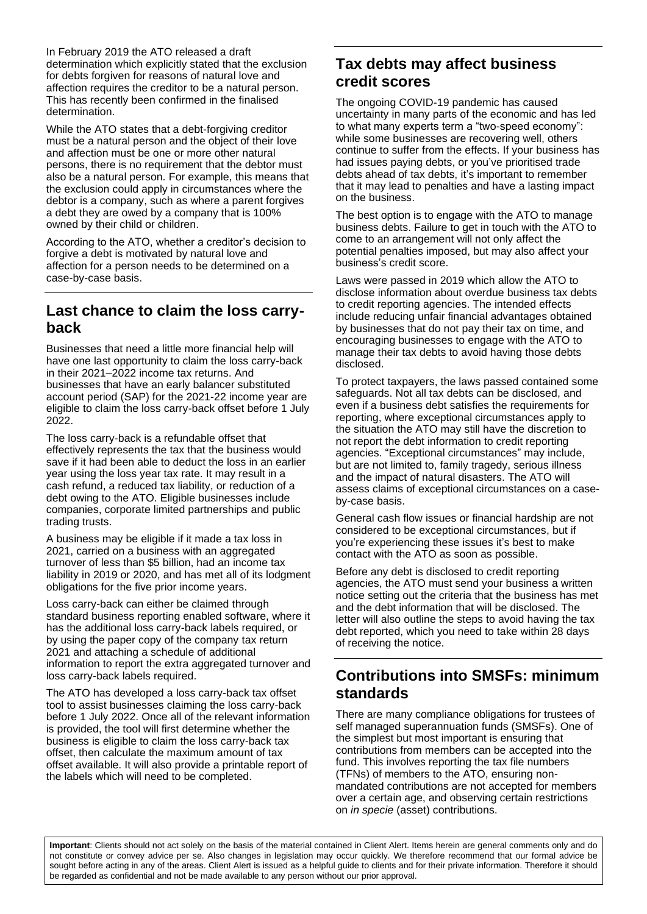In February 2019 the ATO released a draft determination which explicitly stated that the exclusion for debts forgiven for reasons of natural love and affection requires the creditor to be a natural person. This has recently been confirmed in the finalised determination.

While the ATO states that a debt-forgiving creditor must be a natural person and the object of their love and affection must be one or more other natural persons, there is no requirement that the debtor must also be a natural person. For example, this means that the exclusion could apply in circumstances where the debtor is a company, such as where a parent forgives a debt they are owed by a company that is 100% owned by their child or children.

According to the ATO, whether a creditor's decision to forgive a debt is motivated by natural love and affection for a person needs to be determined on a case-by-case basis.

#### **Last chance to claim the loss carryback**

Businesses that need a little more financial help will have one last opportunity to claim the loss carry-back in their 2021–2022 income tax returns. And businesses that have an early balancer substituted account period (SAP) for the 2021-22 income year are eligible to claim the loss carry-back offset before 1 July 2022.

The loss carry-back is a refundable offset that effectively represents the tax that the business would save if it had been able to deduct the loss in an earlier year using the loss year tax rate. It may result in a cash refund, a reduced tax liability, or reduction of a debt owing to the ATO. Eligible businesses include companies, corporate limited partnerships and public trading trusts.

A business may be eligible if it made a tax loss in 2021, carried on a business with an aggregated turnover of less than \$5 billion, had an income tax liability in 2019 or 2020, and has met all of its lodgment obligations for the five prior income years.

Loss carry-back can either be claimed through standard business reporting enabled software, where it has the additional loss carry-back labels required, or by using the paper copy of the company tax return 2021 and attaching a schedule of additional information to report the extra aggregated turnover and loss carry-back labels required.

The ATO has developed a loss carry-back tax offset tool to assist businesses claiming the loss carry-back before 1 July 2022. Once all of the relevant information is provided, the tool will first determine whether the business is eligible to claim the loss carry-back tax offset, then calculate the maximum amount of tax offset available. It will also provide a printable report of the labels which will need to be completed.

# **Tax debts may affect business credit scores**

The ongoing COVID-19 pandemic has caused uncertainty in many parts of the economic and has led to what many experts term a "two-speed economy": while some businesses are recovering well, others continue to suffer from the effects. If your business has had issues paying debts, or you've prioritised trade debts ahead of tax debts, it's important to remember that it may lead to penalties and have a lasting impact on the business.

The best option is to engage with the ATO to manage business debts. Failure to get in touch with the ATO to come to an arrangement will not only affect the potential penalties imposed, but may also affect your business's credit score.

Laws were passed in 2019 which allow the ATO to disclose information about overdue business tax debts to credit reporting agencies. The intended effects include reducing unfair financial advantages obtained by businesses that do not pay their tax on time, and encouraging businesses to engage with the ATO to manage their tax debts to avoid having those debts disclosed.

To protect taxpayers, the laws passed contained some safeguards. Not all tax debts can be disclosed, and even if a business debt satisfies the requirements for reporting, where exceptional circumstances apply to the situation the ATO may still have the discretion to not report the debt information to credit reporting agencies. "Exceptional circumstances" may include, but are not limited to, family tragedy, serious illness and the impact of natural disasters. The ATO will assess claims of exceptional circumstances on a caseby-case basis.

General cash flow issues or financial hardship are not considered to be exceptional circumstances, but if you're experiencing these issues it's best to make contact with the ATO as soon as possible.

Before any debt is disclosed to credit reporting agencies, the ATO must send your business a written notice setting out the criteria that the business has met and the debt information that will be disclosed. The letter will also outline the steps to avoid having the tax debt reported, which you need to take within 28 days of receiving the notice.

### **Contributions into SMSFs: minimum standards**

There are many compliance obligations for trustees of self managed superannuation funds (SMSFs). One of the simplest but most important is ensuring that contributions from members can be accepted into the fund. This involves reporting the tax file numbers (TFNs) of members to the ATO, ensuring nonmandated contributions are not accepted for members over a certain age, and observing certain restrictions on *in specie* (asset) contributions.

**Important**: Clients should not act solely on the basis of the material contained in Client Alert. Items herein are general comments only and do not constitute or convey advice per se. Also changes in legislation may occur quickly. We therefore recommend that our formal advice be sought before acting in any of the areas. Client Alert is issued as a helpful quide to clients and for their private information. Therefore it should be regarded as confidential and not be made available to any person without our prior approval.